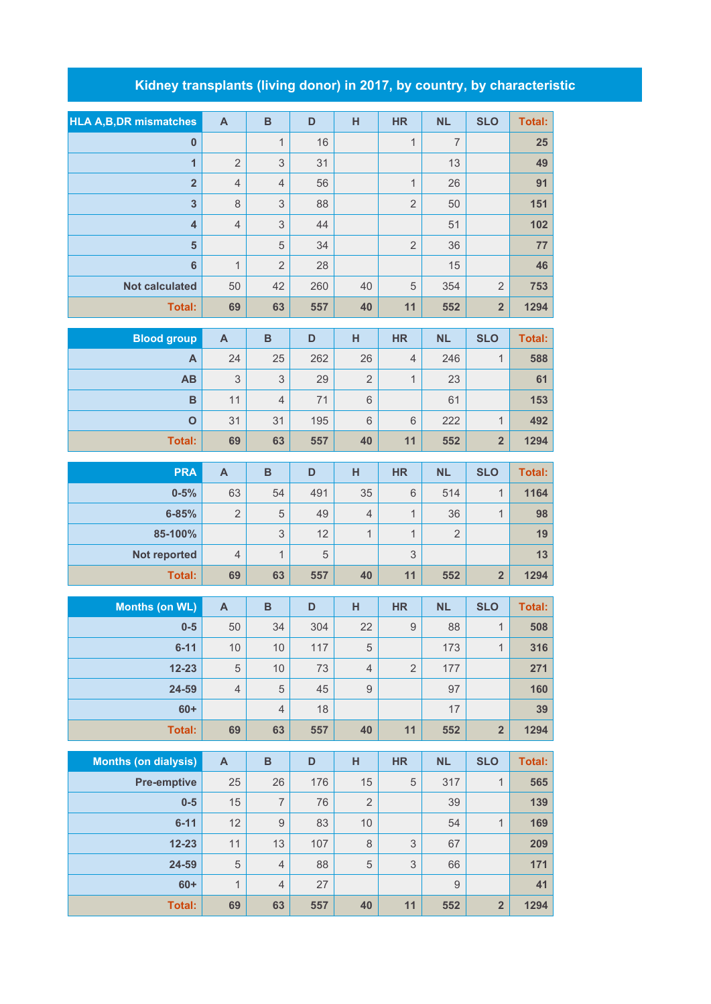## **Kidney transplants (living donor) in 2017, by country, by characteristic**

| <b>HLA A, B, DR mismatches</b> | $\mathbf{A}$              | $\overline{B}$            | D   | H                | <b>HR</b>                 | <b>NL</b>      | <b>SLO</b>              | <b>Total:</b> |
|--------------------------------|---------------------------|---------------------------|-----|------------------|---------------------------|----------------|-------------------------|---------------|
| $\pmb{0}$                      |                           | $\mathbf{1}$              | 16  |                  | $\mathbf{1}$              | $\overline{7}$ |                         | 25            |
| 1                              | $\overline{2}$            | 3                         | 31  |                  |                           | 13             |                         | 49            |
| $\overline{\mathbf{2}}$        | $\overline{4}$            | $\overline{4}$            | 56  |                  | $\mathbf{1}$              | 26             |                         | 91            |
| 3                              | $\,8\,$                   | $\ensuremath{\mathsf{3}}$ | 88  |                  | $\overline{2}$            | 50             |                         | 151           |
| $\overline{\mathbf{4}}$        | $\overline{4}$            | $\ensuremath{\mathsf{3}}$ | 44  |                  |                           | 51             |                         | 102           |
| 5                              |                           | 5                         | 34  |                  | $\overline{2}$            | 36             |                         | 77            |
| $6\phantom{1}6$                | $\mathbf{1}$              | $\overline{2}$            | 28  |                  |                           | 15             |                         | 46            |
| <b>Not calculated</b>          | 50                        | 42                        | 260 | 40               | 5                         | 354            | $\overline{2}$          | 753           |
| <b>Total:</b>                  | 69                        | 63                        | 557 | 40               | 11                        | 552            | $\overline{2}$          | 1294          |
| <b>Blood group</b>             | $\mathsf{A}$              | $\, {\bf B}$              | D   | H                | <b>HR</b>                 | <b>NL</b>      | <b>SLO</b>              | <b>Total:</b> |
| A                              | 24                        | 25                        | 262 | 26               | $\overline{4}$            | 246            | $\mathbf{1}$            | 588           |
| AB                             | 3                         | 3                         | 29  | $\overline{2}$   | $\mathbf{1}$              | 23             |                         | 61            |
| $\mathbf B$                    | 11                        | $\sqrt{4}$                | 71  | $\,$ 6 $\,$      |                           | 61             |                         | 153           |
| $\mathbf{o}$                   | 31                        | 31                        | 195 | $\,$ 6 $\,$      | 6                         | 222            | 1                       | 492           |
| <b>Total:</b>                  | 69                        | 63                        | 557 | 40               | 11                        | 552            | $\overline{\mathbf{2}}$ | 1294          |
|                                |                           |                           |     |                  |                           |                |                         |               |
| <b>PRA</b>                     | $\mathbf{A}$              | $\overline{B}$            | D   | H                | <b>HR</b>                 | <b>NL</b>      | <b>SLO</b>              | <b>Total:</b> |
| $0 - 5%$                       | 63                        | 54                        | 491 | 35               | $6\,$                     | 514            | $\mathbf{1}$            | 1164          |
| $6 - 85%$                      | $\overline{2}$            | $\sqrt{5}$                | 49  | $\overline{4}$   | 1                         | 36             | $\mathbf{1}$            | 98            |
| 85-100%                        |                           | $\ensuremath{\mathsf{3}}$ | 12  | $\mathbf 1$      | 1                         | $\overline{2}$ |                         | 19            |
| Not reported                   | $\overline{4}$            | 1                         | 5   |                  | 3                         |                |                         | 13            |
| <b>Total:</b>                  | 69                        | 63                        | 557 | 40               | 11                        | 552            | $\overline{2}$          | 1294          |
| <b>Months (on WL)</b>          | $\boldsymbol{\mathsf{A}}$ | $\, {\bf B}$              | D   | H                | <b>HR</b>                 | <b>NL</b>      | <b>SLO</b>              | <b>Total:</b> |
| $0-5$                          | $50\,$                    | 34                        | 304 | 22               | $\boldsymbol{9}$          | 88             | 1                       | 508           |
| $6 - 11$                       | 10                        | 10                        | 117 | 5                |                           | 173            | $\mathbf{1}$            | 316           |
| $12 - 23$                      | 5                         | 10                        | 73  | $\overline{4}$   | $\overline{2}$            | 177            |                         | 271           |
| 24-59                          | $\overline{4}$            | $\mathbf 5$               | 45  | $\boldsymbol{9}$ |                           | 97             |                         | 160           |
| $60+$                          |                           | $\sqrt{4}$                | 18  |                  |                           | 17             |                         | 39            |
| <b>Total:</b>                  | 69                        | 63                        | 557 | 40               | 11                        | 552            | $\overline{\mathbf{2}}$ | 1294          |
| <b>Months (on dialysis)</b>    | $\boldsymbol{\mathsf{A}}$ | $\, {\bf B}$              | D   | H                | <b>HR</b>                 | <b>NL</b>      | <b>SLO</b>              | <b>Total:</b> |
| <b>Pre-emptive</b>             | 25                        | 26                        | 176 | 15               | $\mathbf 5$               | 317            | $\mathbf{1}$            | 565           |
| $0-5$                          | 15                        | $\overline{7}$            | 76  | $\overline{2}$   |                           | 39             |                         | 139           |
| $6 - 11$                       | 12                        | $\hbox{9}$                | 83  | 10               |                           | 54             | $\mathbf{1}$            | 169           |
| $12 - 23$                      | 11                        | 13                        | 107 | $\,8\,$          | $\ensuremath{\mathsf{3}}$ | 67             |                         | 209           |
| 24-59                          | 5                         | $\overline{4}$            | 88  | $\mathbf 5$      | $\ensuremath{\mathsf{3}}$ | 66             |                         | 171           |
| $60+$                          | $\mathbf{1}$              | $\sqrt{4}$                | 27  |                  |                           | 9              |                         | 41            |
| <b>Total:</b>                  | 69                        | 63                        | 557 | 40               | 11                        | 552            | $\overline{\mathbf{2}}$ | 1294          |